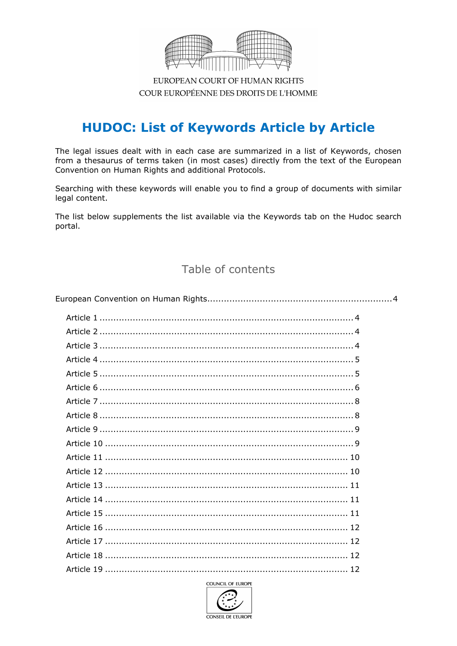

EUROPEAN COURT OF HUMAN RIGHTS COUR EUROPÉENNE DES DROITS DE L'HOMME

# **HUDOC: List of Keywords Article by Article**

The legal issues dealt with in each case are summarized in a list of Keywords, chosen from a thesaurus of terms taken (in most cases) directly from the text of the European Convention on Human Rights and additional Protocols.

Searching with these keywords will enable you to find a group of documents with similar legal content.

The list below supplements the list available via the Keywords tab on the Hudoc search portal.

### Table of contents

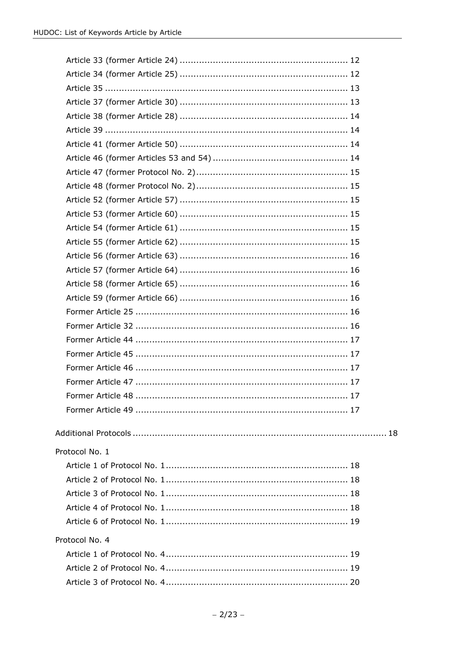| Protocol No. 1 |  |
|----------------|--|
|                |  |
|                |  |
|                |  |
|                |  |
|                |  |
| Protocol No. 4 |  |
|                |  |
|                |  |
|                |  |
|                |  |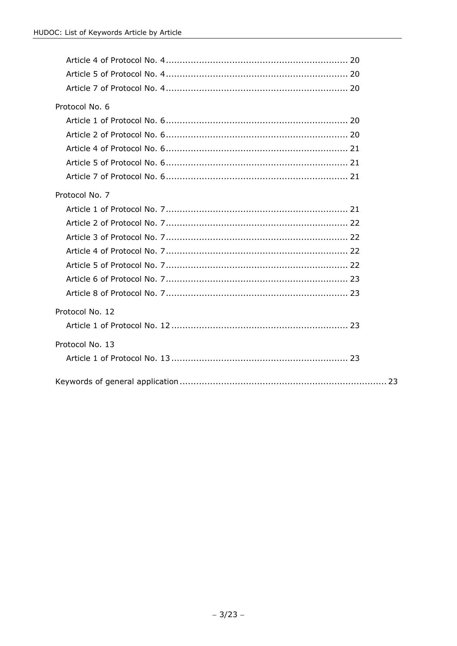| Protocol No. 6  |
|-----------------|
|                 |
|                 |
|                 |
|                 |
|                 |
| Protocol No. 7  |
|                 |
|                 |
|                 |
|                 |
|                 |
|                 |
|                 |
| Protocol No. 12 |
|                 |
| Protocol No. 13 |
|                 |
|                 |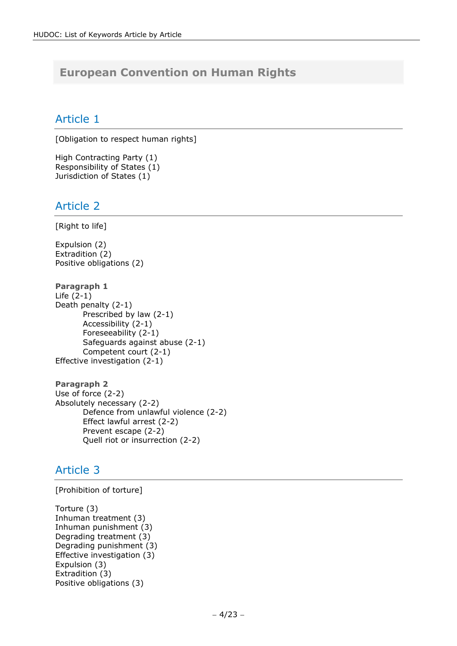# <span id="page-3-0"></span>**European Convention on Human Rights**

### <span id="page-3-1"></span>Article 1

[Obligation to respect human rights]

High Contracting Party (1) Responsibility of States (1) Jurisdiction of States (1)

### <span id="page-3-2"></span>Article 2

[Right to life]

Expulsion (2) Extradition (2) Positive obligations (2)

**Paragraph 1** Life (2-1) Death penalty (2-1) Prescribed by law (2-1) Accessibility (2-1) Foreseeability (2-1) Safeguards against abuse (2-1) Competent court (2-1) Effective investigation (2-1)

**Paragraph 2** Use of force (2-2) Absolutely necessary (2-2) Defence from unlawful violence (2-2) Effect lawful arrest (2-2) Prevent escape (2-2) Quell riot or insurrection (2-2)

# <span id="page-3-3"></span>Article 3

[Prohibition of torture]

Torture (3) Inhuman treatment (3) Inhuman punishment (3) Degrading treatment (3) Degrading punishment (3) Effective investigation (3) Expulsion (3) Extradition (3) Positive obligations (3)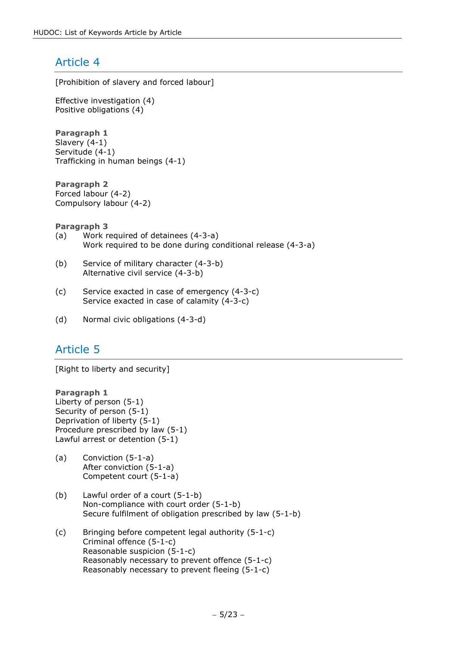<span id="page-4-0"></span>[Prohibition of slavery and forced labour]

Effective investigation (4) Positive obligations (4)

**Paragraph 1** Slavery (4-1) Servitude (4-1) Trafficking in human beings (4-1)

**Paragraph 2** Forced labour (4-2) Compulsory labour (4-2)

**Paragraph 3**

- (a) Work required of detainees (4-3-a) Work required to be done during conditional release (4-3-a)
- (b) Service of military character (4-3-b) Alternative civil service (4-3-b)
- (c) Service exacted in case of emergency (4-3-c) Service exacted in case of calamity (4-3-c)
- <span id="page-4-1"></span>(d) Normal civic obligations (4-3-d)

# Article 5

[Right to liberty and security]

### **Paragraph 1**

Liberty of person (5-1) Security of person (5-1) Deprivation of liberty (5-1) Procedure prescribed by law (5-1) Lawful arrest or detention (5-1)

- (a) Conviction (5-1-a) After conviction (5-1-a) Competent court (5-1-a)
- (b) Lawful order of a court (5-1-b) Non-compliance with court order (5-1-b) Secure fulfilment of obligation prescribed by law (5-1-b)
- (c) Bringing before competent legal authority (5-1-c) Criminal offence (5-1-c) Reasonable suspicion (5-1-c) Reasonably necessary to prevent offence (5-1-c) Reasonably necessary to prevent fleeing (5-1-c)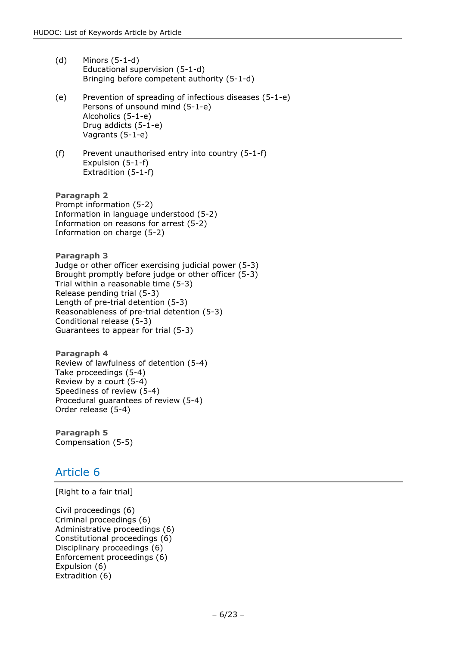- (d) Minors (5-1-d) Educational supervision (5-1-d) Bringing before competent authority (5-1-d)
- (e) Prevention of spreading of infectious diseases (5-1-e) Persons of unsound mind (5-1-e) Alcoholics (5-1-e) Drug addicts (5-1-e) Vagrants (5-1-e)
- (f) Prevent unauthorised entry into country (5-1-f) Expulsion (5-1-f) Extradition (5-1-f)

**Paragraph 2** Prompt information (5-2) Information in language understood (5-2) Information on reasons for arrest (5-2) Information on charge (5-2)

**Paragraph 3** Judge or other officer exercising judicial power (5-3) Brought promptly before judge or other officer (5-3) Trial within a reasonable time (5-3) Release pending trial (5-3) Length of pre-trial detention (5-3) Reasonableness of pre-trial detention (5-3) Conditional release (5-3) Guarantees to appear for trial (5-3)

**Paragraph 4** Review of lawfulness of detention (5-4) Take proceedings (5-4) Review by a court (5-4) Speediness of review (5-4) Procedural guarantees of review (5-4) Order release (5-4)

<span id="page-5-0"></span>**Paragraph 5** Compensation (5-5)

# Article 6

[Right to a fair trial]

Civil proceedings (6) Criminal proceedings (6) Administrative proceedings (6) Constitutional proceedings (6) Disciplinary proceedings (6) Enforcement proceedings (6) Expulsion (6) Extradition (6)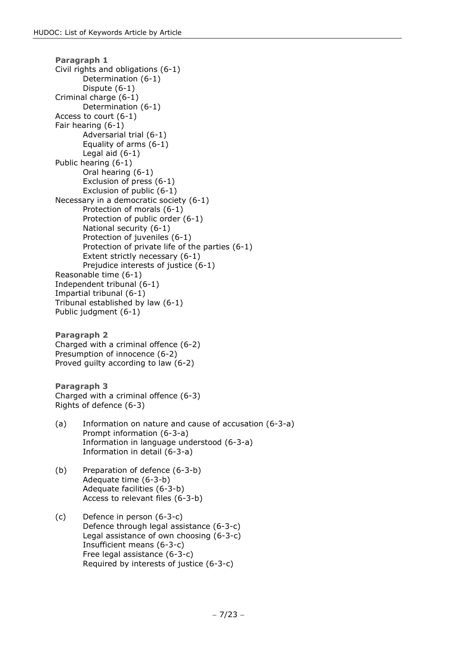```
Paragraph 1
Civil rights and obligations (6-1)
       Determination (6-1)
       Dispute (6-1)
Criminal charge (6-1)
       Determination (6-1)
Access to court (6-1)
Fair hearing (6-1)
       Adversarial trial (6-1)
       Equality of arms (6-1)
       Legal aid (6-1)
Public hearing (6-1)
       Oral hearing (6-1)
       Exclusion of press (6-1)
       Exclusion of public (6-1)
Necessary in a democratic society (6-1)
       Protection of morals (6-1)
       Protection of public order (6-1)
       National security (6-1)
       Protection of juveniles (6-1)
       Protection of private life of the parties (6-1)
       Extent strictly necessary (6-1)
       Prejudice interests of justice (6-1)
Reasonable time (6-1)
Independent tribunal (6-1)
Impartial tribunal (6-1)
Tribunal established by law (6-1)
Public judgment (6-1)
Paragraph 2
Charged with a criminal offence (6-2)
Presumption of innocence (6-2)
Proved guilty according to law (6-2)
Paragraph 3
Charged with a criminal offence (6-3)
Rights of defence (6-3)
(a) Information on nature and cause of accusation (6-3-a)
       Prompt information (6-3-a)
       Information in language understood (6-3-a)
       Information in detail (6-3-a)
(b) Preparation of defence (6-3-b)
       Adequate time (6-3-b)
       Adequate facilities (6-3-b)
       Access to relevant files (6-3-b)
(c) Defence in person (6-3-c)
       Defence through legal assistance (6-3-c)
       Legal assistance of own choosing (6-3-c)
       Insufficient means (6-3-c)
```
Free legal assistance (6-3-c)

Required by interests of justice (6-3-c)

− 7/23 −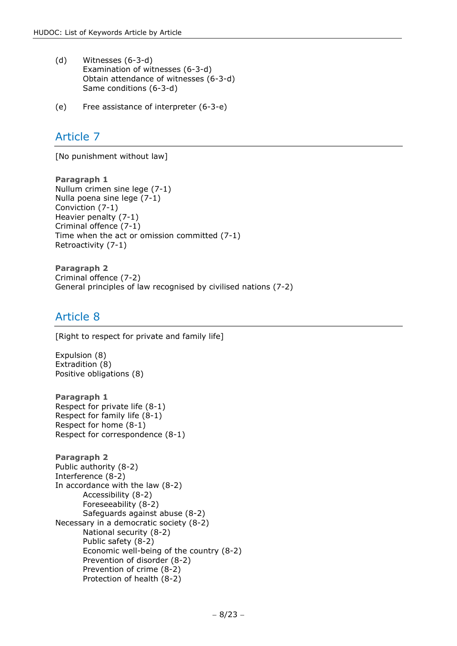- (d) Witnesses (6-3-d) Examination of witnesses (6-3-d) Obtain attendance of witnesses (6-3-d) Same conditions (6-3-d)
- <span id="page-7-0"></span>(e) Free assistance of interpreter (6-3-e)

[No punishment without law]

**Paragraph 1** Nullum crimen sine lege (7-1) Nulla poena sine lege (7-1) Conviction (7-1) Heavier penalty (7-1) Criminal offence (7-1) Time when the act or omission committed (7-1) Retroactivity (7-1)

**Paragraph 2** Criminal offence (7-2) General principles of law recognised by civilised nations (7-2)

### <span id="page-7-1"></span>Article 8

[Right to respect for private and family life]

Expulsion (8) Extradition (8) Positive obligations (8)

**Paragraph 1** Respect for private life (8-1) Respect for family life (8-1) Respect for home (8-1) Respect for correspondence (8-1)

```
Paragraph 2
Public authority (8-2)
Interference (8-2)
In accordance with the law (8-2)
       Accessibility (8-2)
       Foreseeability (8-2)
       Safeguards against abuse (8-2)
Necessary in a democratic society (8-2)
       National security (8-2)
       Public safety (8-2)
       Economic well-being of the country (8-2)
       Prevention of disorder (8-2)
       Prevention of crime (8-2)
       Protection of health (8-2)
```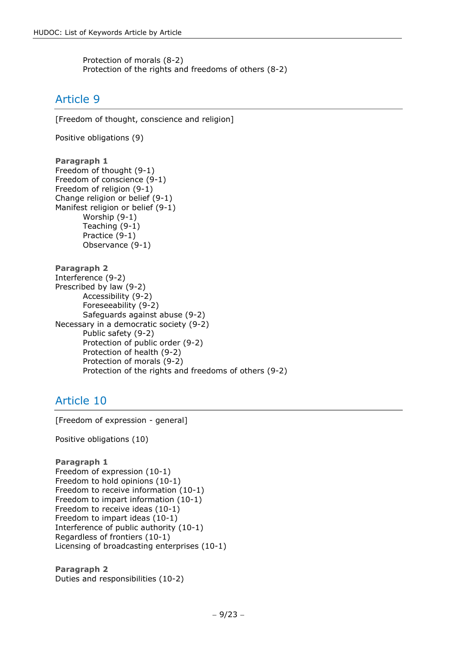Protection of morals (8-2) Protection of the rights and freedoms of others (8-2)

# <span id="page-8-0"></span>Article 9

[Freedom of thought, conscience and religion]

Positive obligations (9)

```
Paragraph 1
Freedom of thought (9-1)
Freedom of conscience (9-1)
Freedom of religion (9-1)
Change religion or belief (9-1)
Manifest religion or belief (9-1)
       Worship (9-1)
       Teaching (9-1)
       Practice (9-1)
       Observance (9-1)
```

```
Paragraph 2
Interference (9-2)
Prescribed by law (9-2)
       Accessibility (9-2)
       Foreseeability (9-2)
       Safeguards against abuse (9-2)
Necessary in a democratic society (9-2)
       Public safety (9-2)
       Protection of public order (9-2)
       Protection of health (9-2)
       Protection of morals (9-2)
       Protection of the rights and freedoms of others (9-2)
```
# <span id="page-8-1"></span>Article 10

[Freedom of expression - general]

Positive obligations (10)

```
Paragraph 1
Freedom of expression (10-1)
Freedom to hold opinions (10-1)
Freedom to receive information (10-1)
Freedom to impart information (10-1)
Freedom to receive ideas (10-1)
Freedom to impart ideas (10-1)
Interference of public authority (10-1)
Regardless of frontiers (10-1)
Licensing of broadcasting enterprises (10-1)
```

```
Paragraph 2
Duties and responsibilities (10-2)
```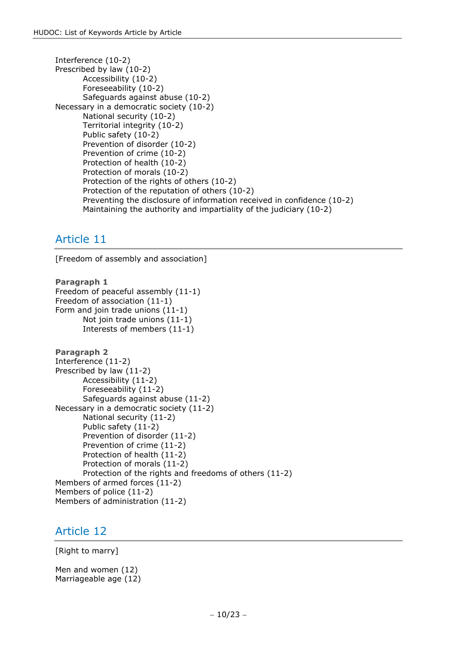```
Interference (10-2)
Prescribed by law (10-2)
       Accessibility (10-2)
       Foreseeability (10-2)
       Safeguards against abuse (10-2)
Necessary in a democratic society (10-2)
       National security (10-2)
       Territorial integrity (10-2)
       Public safety (10-2)
       Prevention of disorder (10-2)
       Prevention of crime (10-2)
       Protection of health (10-2)
       Protection of morals (10-2)
       Protection of the rights of others (10-2)
       Protection of the reputation of others (10-2)
       Preventing the disclosure of information received in confidence (10-2)
       Maintaining the authority and impartiality of the judiciary (10-2)
```
<span id="page-9-0"></span>[Freedom of assembly and association]

```
Paragraph 1
Freedom of peaceful assembly (11-1)
Freedom of association (11-1)
Form and join trade unions (11-1)
       Not join trade unions (11-1)
       Interests of members (11-1)
Paragraph 2
Interference (11-2)
Prescribed by law (11-2)
       Accessibility (11-2)
       Foreseeability (11-2)
       Safeguards against abuse (11-2)
Necessary in a democratic society (11-2)
       National security (11-2)
       Public safety (11-2)
       Prevention of disorder (11-2)
       Prevention of crime (11-2)
       Protection of health (11-2)
       Protection of morals (11-2)
       Protection of the rights and freedoms of others (11-2)
Members of armed forces (11-2)
Members of police (11-2)
Members of administration (11-2)
```
### <span id="page-9-1"></span>Article 12

[Right to marry]

Men and women (12) Marriageable age (12)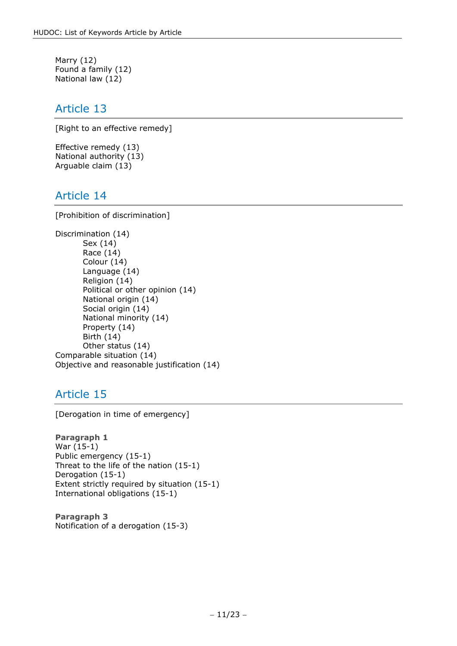Marry (12) Found a family (12) National law (12)

#### <span id="page-10-0"></span>Article 13

[Right to an effective remedy]

Effective remedy (13) National authority (13) Arguable claim (13)

### <span id="page-10-1"></span>Article 14

[Prohibition of discrimination]

```
Discrimination (14)
       Sex (14)
       Race (14)
       Colour (14)
       Language (14)
       Religion (14)
       Political or other opinion (14)
       National origin (14)
       Social origin (14)
       National minority (14)
       Property (14)
       Birth (14)
       Other status (14)
Comparable situation (14)
Objective and reasonable justification (14)
```
# <span id="page-10-2"></span>Article 15

[Derogation in time of emergency]

**Paragraph 1** War (15-1) Public emergency (15-1) Threat to the life of the nation (15-1) Derogation (15-1) Extent strictly required by situation (15-1) International obligations (15-1)

<span id="page-10-3"></span>**Paragraph 3** Notification of a derogation (15-3)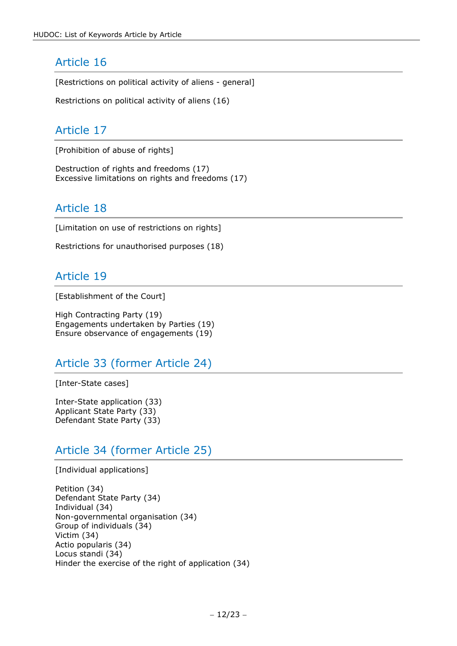[Restrictions on political activity of aliens - general]

<span id="page-11-0"></span>Restrictions on political activity of aliens (16)

### Article 17

[Prohibition of abuse of rights]

<span id="page-11-1"></span>Destruction of rights and freedoms (17) Excessive limitations on rights and freedoms (17)

# Article 18

[Limitation on use of restrictions on rights]

<span id="page-11-2"></span>Restrictions for unauthorised purposes (18)

### Article 19

[Establishment of the Court]

High Contracting Party (19) Engagements undertaken by Parties (19) Ensure observance of engagements (19)

# <span id="page-11-3"></span>Article 33 (former Article 24)

[Inter-State cases]

Inter-State application (33) Applicant State Party (33) Defendant State Party (33)

# <span id="page-11-4"></span>Article 34 (former Article 25)

[Individual applications]

Petition (34) Defendant State Party (34) Individual (34) Non-governmental organisation (34) Group of individuals (34) Victim (34) Actio popularis (34) Locus standi (34) Hinder the exercise of the right of application (34)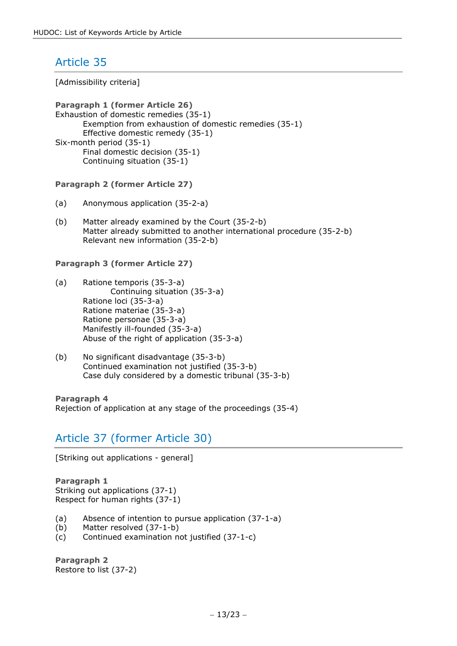<span id="page-12-0"></span>[Admissibility criteria]

**Paragraph 1 (former Article 26)** Exhaustion of domestic remedies (35-1) Exemption from exhaustion of domestic remedies (35-1) Effective domestic remedy (35-1) Six-month period (35-1) Final domestic decision (35-1) Continuing situation (35-1)

#### **Paragraph 2 (former Article 27)**

- (a) Anonymous application (35-2-a)
- (b) Matter already examined by the Court (35-2-b) Matter already submitted to another international procedure (35-2-b) Relevant new information (35-2-b)

#### **Paragraph 3 (former Article 27)**

- (a) Ratione temporis (35-3-a) Continuing situation (35-3-a) Ratione loci (35-3-a) Ratione materiae (35-3-a) Ratione personae (35-3-a) Manifestly ill-founded (35-3-a) Abuse of the right of application (35-3-a)
- (b) No significant disadvantage (35-3-b) Continued examination not justified (35-3-b) Case duly considered by a domestic tribunal (35-3-b)

<span id="page-12-1"></span>**Paragraph 4** Rejection of application at any stage of the proceedings (35-4)

# Article 37 (former Article 30)

[Striking out applications - general]

**Paragraph 1** Striking out applications (37-1) Respect for human rights (37-1)

- (a) Absence of intention to pursue application (37-1-a)
- (b) Matter resolved (37-1-b)
- (c) Continued examination not justified (37-1-c)

**Paragraph 2** Restore to list (37-2)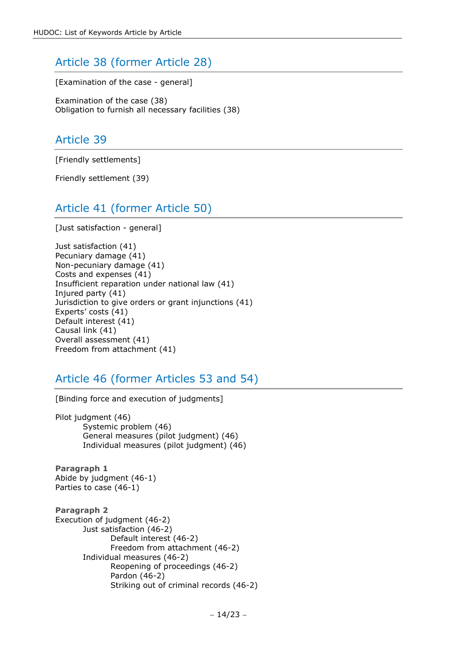# <span id="page-13-0"></span>Article 38 (former Article 28)

[Examination of the case - general]

<span id="page-13-1"></span>Examination of the case (38) Obligation to furnish all necessary facilities (38)

### Article 39

[Friendly settlements]

<span id="page-13-2"></span>Friendly settlement (39)

# Article 41 (former Article 50)

[Just satisfaction - general]

Just satisfaction (41) Pecuniary damage (41) Non-pecuniary damage (41) Costs and expenses (41) Insufficient reparation under national law (41) Injured party (41) Jurisdiction to give orders or grant injunctions (41) Experts' costs (41) Default interest (41) Causal link (41) Overall assessment (41) Freedom from attachment (41)

### <span id="page-13-3"></span>Article 46 (former Articles 53 and 54)

[Binding force and execution of judgments]

Pilot judgment (46) Systemic problem (46) General measures (pilot judgment) (46) Individual measures (pilot judgment) (46)

**Paragraph 1** Abide by judgment (46-1) Parties to case (46-1)

**Paragraph 2** Execution of judgment (46-2) Just satisfaction (46-2) Default interest (46-2) Freedom from attachment (46-2) Individual measures (46-2) Reopening of proceedings (46-2) Pardon (46-2) Striking out of criminal records (46-2)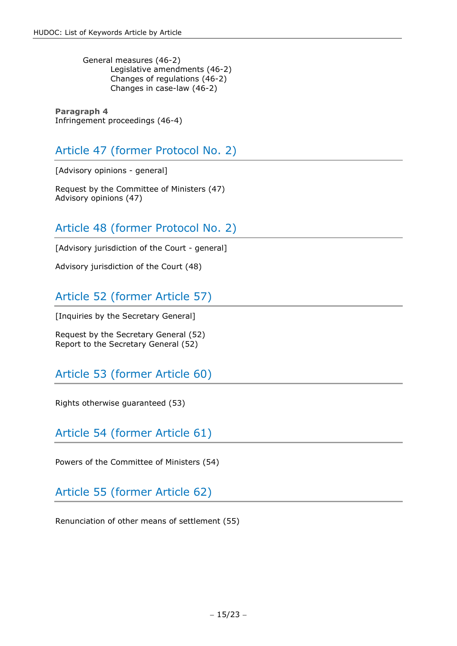General measures (46-2) Legislative amendments (46-2) Changes of regulations (46-2) Changes in case-law (46-2)

**Paragraph 4** Infringement proceedings (46-4)

# <span id="page-14-0"></span>Article 47 (former Protocol No. 2)

[Advisory opinions - general]

<span id="page-14-1"></span>Request by the Committee of Ministers (47) Advisory opinions (47)

# Article 48 (former Protocol No. 2)

[Advisory jurisdiction of the Court - general]

<span id="page-14-2"></span>Advisory jurisdiction of the Court (48)

# Article 52 (former Article 57)

[Inquiries by the Secretary General]

<span id="page-14-3"></span>Request by the Secretary General (52) Report to the Secretary General (52)

# Article 53 (former Article 60)

<span id="page-14-4"></span>Rights otherwise guaranteed (53)

Article 54 (former Article 61)

<span id="page-14-5"></span>Powers of the Committee of Ministers (54)

Article 55 (former Article 62)

<span id="page-14-6"></span>Renunciation of other means of settlement (55)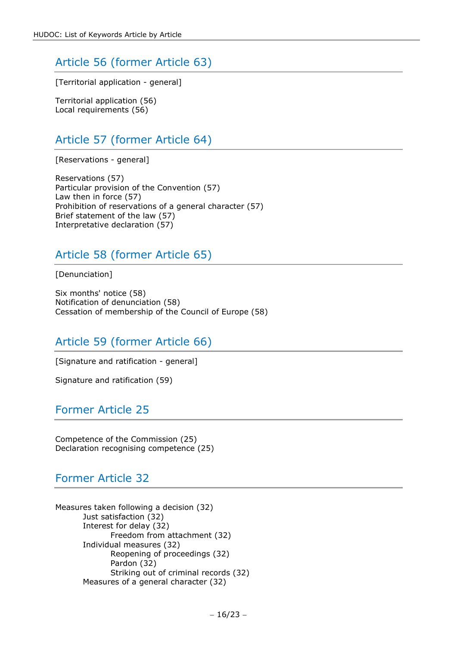# Article 56 (former Article 63)

[Territorial application - general]

<span id="page-15-0"></span>Territorial application (56) Local requirements (56)

# Article 57 (former Article 64)

[Reservations - general]

Reservations (57) Particular provision of the Convention (57) Law then in force (57) Prohibition of reservations of a general character (57) Brief statement of the law (57) Interpretative declaration (57)

# <span id="page-15-1"></span>Article 58 (former Article 65)

[Denunciation]

Six months' notice (58) Notification of denunciation (58) Cessation of membership of the Council of Europe (58)

# <span id="page-15-2"></span>Article 59 (former Article 66)

[Signature and ratification - general]

<span id="page-15-3"></span>Signature and ratification (59)

### Former Article 25

<span id="page-15-4"></span>Competence of the Commission (25) Declaration recognising competence (25)

# Former Article 32

Measures taken following a decision (32) Just satisfaction (32) Interest for delay (32) Freedom from attachment (32) Individual measures (32) Reopening of proceedings (32) Pardon (32) Striking out of criminal records (32) Measures of a general character (32)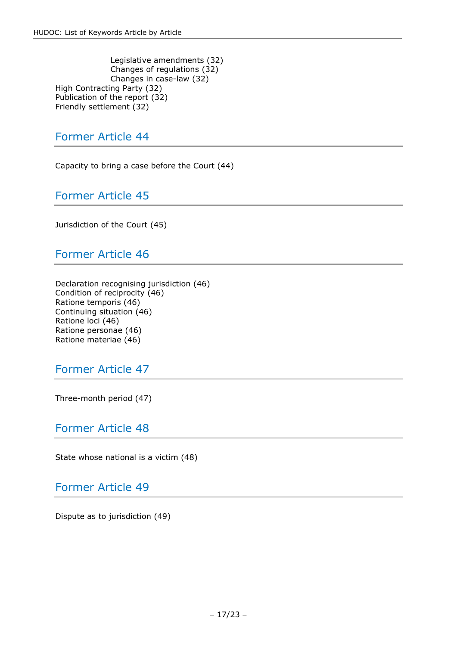Legislative amendments (32) Changes of regulations (32) Changes in case-law (32) High Contracting Party (32) Publication of the report (32) Friendly settlement (32)

### <span id="page-16-0"></span>Former Article 44

<span id="page-16-1"></span>Capacity to bring a case before the Court (44)

Former Article 45

<span id="page-16-2"></span>Jurisdiction of the Court (45)

Former Article 46

Declaration recognising jurisdiction (46) Condition of reciprocity (46) Ratione temporis (46) Continuing situation (46) Ratione loci (46) Ratione personae (46) Ratione materiae (46)

### <span id="page-16-3"></span>Former Article 47

<span id="page-16-4"></span>Three-month period (47)

#### Former Article 48

<span id="page-16-5"></span>State whose national is a victim (48)

Former Article 49

<span id="page-16-6"></span>Dispute as to jurisdiction (49)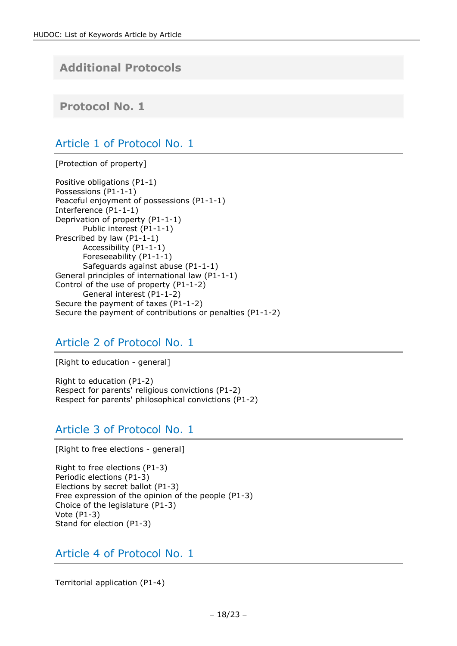# **Additional Protocols**

<span id="page-17-1"></span><span id="page-17-0"></span>**Protocol No. 1**

### Article 1 of Protocol No. 1

[Protection of property]

Positive obligations (P1-1) Possessions (P1-1-1) Peaceful enjoyment of possessions (P1-1-1) Interference (P1-1-1) Deprivation of property (P1-1-1) Public interest (P1-1-1) Prescribed by law (P1-1-1) Accessibility (P1-1-1) Foreseeability (P1-1-1) Safeguards against abuse (P1-1-1) General principles of international law (P1-1-1) Control of the use of property (P1-1-2) General interest (P1-1-2) Secure the payment of taxes (P1-1-2) Secure the payment of contributions or penalties (P1-1-2)

# <span id="page-17-2"></span>Article 2 of Protocol No. 1

[Right to education - general]

Right to education (P1-2) Respect for parents' religious convictions (P1-2) Respect for parents' philosophical convictions (P1-2)

### <span id="page-17-3"></span>Article 3 of Protocol No. 1

[Right to free elections - general]

Right to free elections (P1-3) Periodic elections (P1-3) Elections by secret ballot (P1-3) Free expression of the opinion of the people (P1-3) Choice of the legislature (P1-3) Vote (P1-3) Stand for election (P1-3)

<span id="page-17-4"></span>Article 4 of Protocol No. 1

Territorial application (P1-4)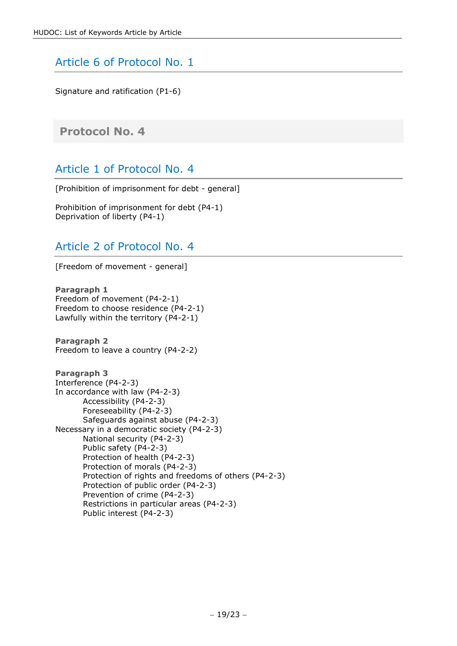# <span id="page-18-0"></span>Article 6 of Protocol No. 1

Signature and ratification (P1-6)

### <span id="page-18-2"></span><span id="page-18-1"></span>**Protocol No. 4**

# Article 1 of Protocol No. 4

[Prohibition of imprisonment for debt - general]

<span id="page-18-3"></span>Prohibition of imprisonment for debt (P4-1) Deprivation of liberty (P4-1)

### Article 2 of Protocol No. 4

[Freedom of movement - general]

**Paragraph 1** Freedom of movement (P4-2-1) Freedom to choose residence (P4-2-1) Lawfully within the territory (P4-2-1)

**Paragraph 2** Freedom to leave a country (P4-2-2)

```
Paragraph 3
Interference (P4-2-3)
In accordance with law (P4-2-3)
       Accessibility (P4-2-3)
       Foreseeability (P4-2-3)
       Safeguards against abuse (P4-2-3)
Necessary in a democratic society (P4-2-3)
       National security (P4-2-3)
       Public safety (P4-2-3)
       Protection of health (P4-2-3)
       Protection of morals (P4-2-3)
       Protection of rights and freedoms of others (P4-2-3)
       Protection of public order (P4-2-3)
       Prevention of crime (P4-2-3)
       Restrictions in particular areas (P4-2-3)
       Public interest (P4-2-3)
```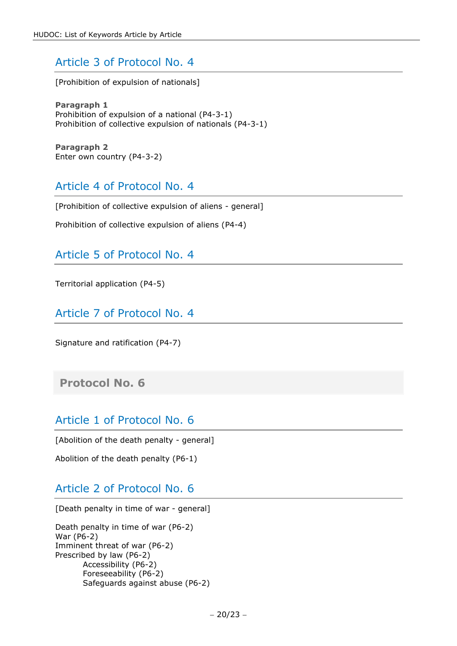# Article 3 of Protocol No. 4

[Prohibition of expulsion of nationals]

**Paragraph 1** Prohibition of expulsion of a national (P4-3-1) Prohibition of collective expulsion of nationals (P4-3-1)

<span id="page-19-0"></span>**Paragraph 2** Enter own country (P4-3-2)

### Article 4 of Protocol No. 4

[Prohibition of collective expulsion of aliens - general]

<span id="page-19-1"></span>Prohibition of collective expulsion of aliens (P4-4)

### Article 5 of Protocol No. 4

<span id="page-19-2"></span>Territorial application (P4-5)

Article 7 of Protocol No. 4

Signature and ratification (P4-7)

<span id="page-19-4"></span><span id="page-19-3"></span>**Protocol No. 6**

#### Article 1 of Protocol No. 6

[Abolition of the death penalty - general]

<span id="page-19-5"></span>Abolition of the death penalty (P6-1)

### Article 2 of Protocol No. 6

[Death penalty in time of war - general]

Death penalty in time of war (P6-2) War (P6-2) Imminent threat of war (P6-2) Prescribed by law (P6-2) Accessibility (P6-2) Foreseeability (P6-2) Safeguards against abuse (P6-2)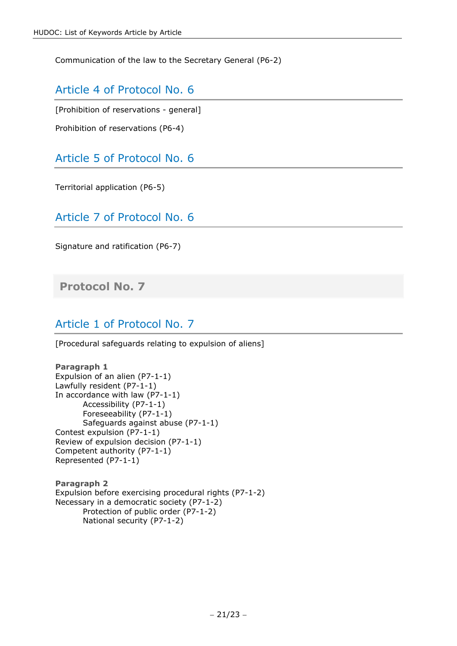<span id="page-20-0"></span>Communication of the law to the Secretary General (P6-2)

### Article 4 of Protocol No. 6

[Prohibition of reservations - general]

<span id="page-20-1"></span>Prohibition of reservations (P6-4)

Article 5 of Protocol No. 6

<span id="page-20-2"></span>Territorial application (P6-5)

Article 7 of Protocol No. 6

Signature and ratification (P6-7)

<span id="page-20-4"></span><span id="page-20-3"></span>**Protocol No. 7**

# Article 1 of Protocol No. 7

[Procedural safeguards relating to expulsion of aliens]

#### **Paragraph 1** Expulsion of an alien (P7-1-1) Lawfully resident (P7-1-1) In accordance with law (P7-1-1) Accessibility (P7-1-1) Foreseeability (P7-1-1) Safeguards against abuse (P7-1-1) Contest expulsion (P7-1-1) Review of expulsion decision (P7-1-1) Competent authority (P7-1-1) Represented (P7-1-1)

<span id="page-20-5"></span>**Paragraph 2** Expulsion before exercising procedural rights (P7-1-2) Necessary in a democratic society (P7-1-2) Protection of public order (P7-1-2) National security (P7-1-2)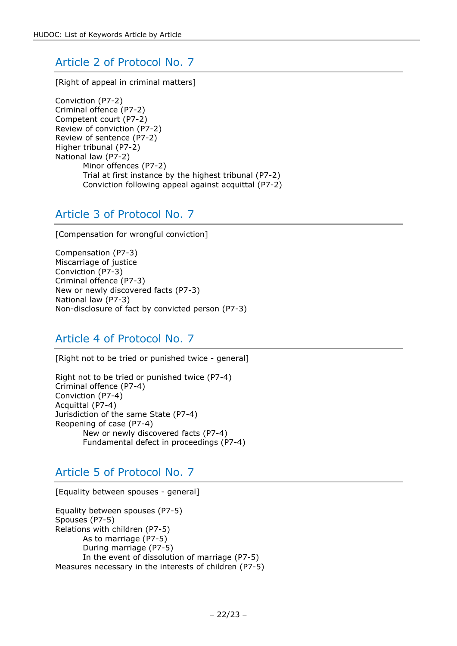# Article 2 of Protocol No. 7

[Right of appeal in criminal matters]

Conviction (P7-2) Criminal offence (P7-2) Competent court (P7-2) Review of conviction (P7-2) Review of sentence (P7-2) Higher tribunal (P7-2) National law (P7-2) Minor offences (P7-2) Trial at first instance by the highest tribunal (P7-2) Conviction following appeal against acquittal (P7-2)

# <span id="page-21-0"></span>Article 3 of Protocol No. 7

[Compensation for wrongful conviction]

Compensation (P7-3) Miscarriage of justice Conviction (P7-3) Criminal offence (P7-3) New or newly discovered facts (P7-3) National law (P7-3) Non-disclosure of fact by convicted person (P7-3)

### <span id="page-21-1"></span>Article 4 of Protocol No. 7

[Right not to be tried or punished twice - general]

Right not to be tried or punished twice (P7-4) Criminal offence (P7-4) Conviction (P7-4) Acquittal (P7-4) Jurisdiction of the same State (P7-4) Reopening of case (P7-4) New or newly discovered facts (P7-4) Fundamental defect in proceedings (P7-4)

# <span id="page-21-2"></span>Article 5 of Protocol No. 7

[Equality between spouses - general]

Equality between spouses (P7-5) Spouses (P7-5) Relations with children (P7-5) As to marriage (P7-5) During marriage (P7-5) In the event of dissolution of marriage (P7-5) Measures necessary in the interests of children (P7-5)